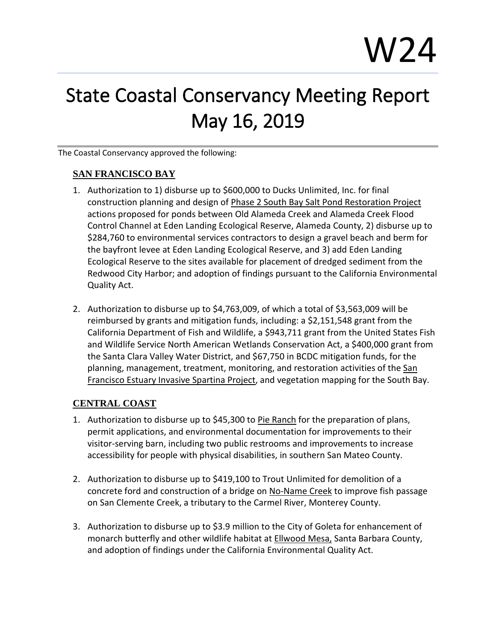# State Coastal Conservancy Meeting Report May 16, 2019

The Coastal Conservancy approved the following:

#### **SAN FRANCISCO BAY**

- 1. Authorization to 1) disburse up to \$600,000 to Ducks Unlimited, Inc. for final construction planning and design of Phase 2 South Bay Salt Pond Restoration Project actions proposed for ponds between Old Alameda Creek and Alameda Creek Flood Control Channel at Eden Landing Ecological Reserve, Alameda County, 2) disburse up to \$284,760 to environmental services contractors to design a gravel beach and berm for the bayfront levee at Eden Landing Ecological Reserve, and 3) add Eden Landing Ecological Reserve to the sites available for placement of dredged sediment from the Redwood City Harbor; and adoption of findings pursuant to the California Environmental Quality Act.
- 2. Authorization to disburse up to \$4,763,009, of which a total of \$3,563,009 will be reimbursed by grants and mitigation funds, including: a \$2,151,548 grant from the California Department of Fish and Wildlife, a \$943,711 grant from the United States Fish and Wildlife Service North American Wetlands Conservation Act, a \$400,000 grant from the Santa Clara Valley Water District, and \$67,750 in BCDC mitigation funds, for the planning, management, treatment, monitoring, and restoration activities of the San Francisco Estuary Invasive Spartina Project, and vegetation mapping for the South Bay.

#### **CENTRAL COAST**

- 1. Authorization to disburse up to \$45,300 to Pie Ranch for the preparation of plans, permit applications, and environmental documentation for improvements to their visitor-serving barn, including two public restrooms and improvements to increase accessibility for people with physical disabilities, in southern San Mateo County.
- 2. Authorization to disburse up to \$419,100 to Trout Unlimited for demolition of a concrete ford and construction of a bridge on No-Name Creek to improve fish passage on San Clemente Creek, a tributary to the Carmel River, Monterey County.
- 3. Authorization to disburse up to \$3.9 million to the City of Goleta for enhancement of monarch butterfly and other wildlife habitat at **Ellwood Mesa**, Santa Barbara County, and adoption of findings under the California Environmental Quality Act.